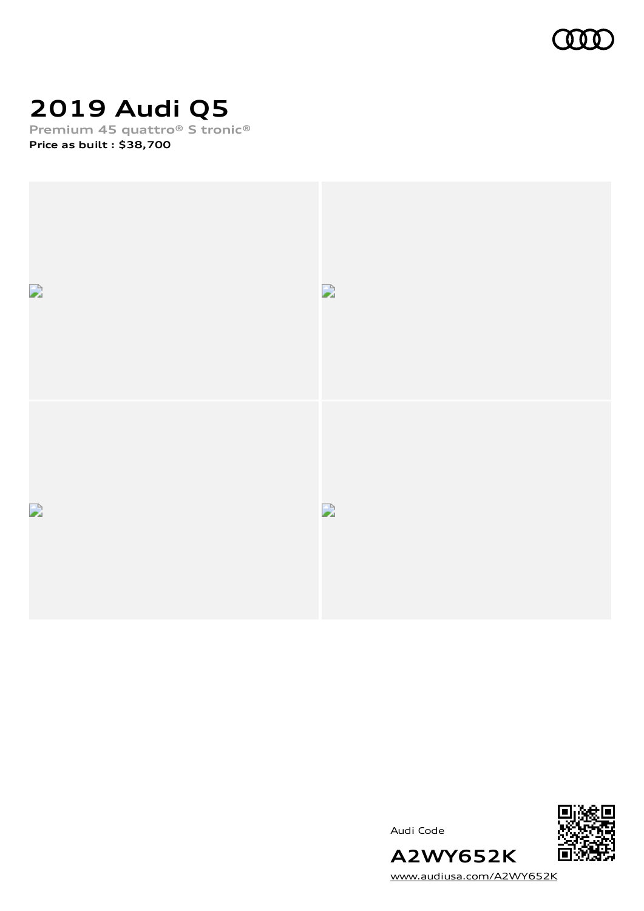

## **2019 Audi Q5**

**Premium 45 quattro® S tronic® Price as built [:](#page-10-0) \$38,700**



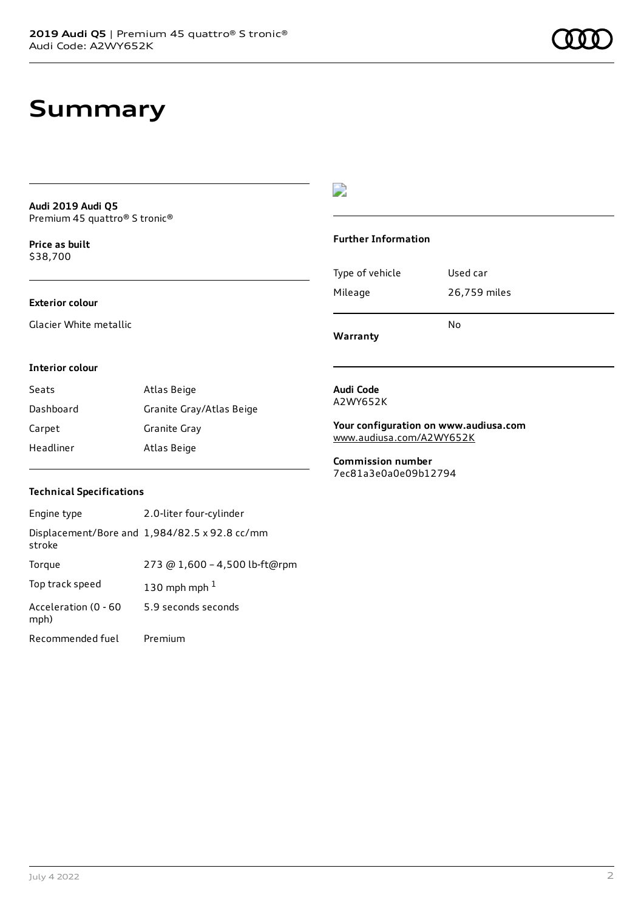### **Summary**

**Audi 2019 Audi Q5** Premium 45 quattro® S tronic®

**Price as buil[t](#page-10-0)** \$38,700

#### **Exterior colour**

Glacier White metallic

### $\overline{\phantom{a}}$

#### **Further Information**

|                 | N٥           |
|-----------------|--------------|
| Mileage         | 26,759 miles |
| Type of vehicle | Used car     |

**Warranty**

#### **Interior colour**

| Seats     | Atlas Beige              |
|-----------|--------------------------|
| Dashboard | Granite Gray/Atlas Beige |
| Carpet    | Granite Gray             |
| Headliner | Atlas Beige              |

#### **Audi Code** A2WY652K

**Your configuration on www.audiusa.com** [www.audiusa.com/A2WY652K](https://www.audiusa.com/A2WY652K)

**Commission number** 7ec81a3e0a0e09b12794

#### **Technical Specifications**

| Engine type                  | 2.0-liter four-cylinder                       |
|------------------------------|-----------------------------------------------|
| stroke                       | Displacement/Bore and 1,984/82.5 x 92.8 cc/mm |
| Torque                       | 273 @ 1,600 - 4,500 lb-ft@rpm                 |
| Top track speed              | 130 mph mph $1$                               |
| Acceleration (0 - 60<br>mph) | 5.9 seconds seconds                           |
| Recommended fuel             | Premium                                       |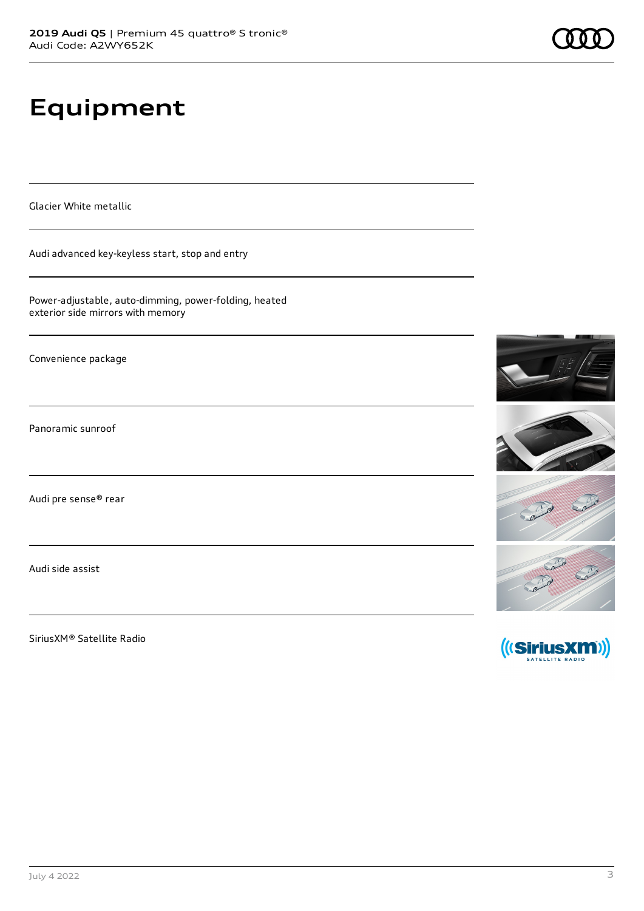# **Equipment**

Glacier White metallic

Audi advanced key-keyless start, stop and entry

Power-adjustable, auto-dimming, power-folding, heated exterior side mirrors with memory

Convenience package

Panoramic sunroof

Audi pre sense® rear

Audi side assist

SiriusXM® Satellite Radio

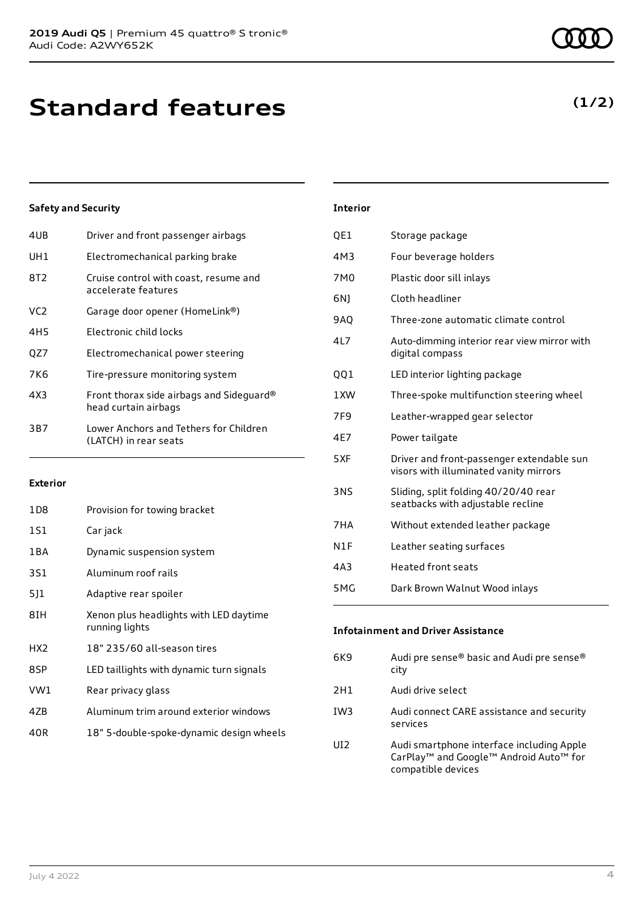| 4UB | Driver and front passenger airbags                               |
|-----|------------------------------------------------------------------|
| UH1 | Electromechanical parking brake                                  |
| 8T2 | Cruise control with coast, resume and<br>accelerate features     |
| VC2 | Garage door opener (HomeLink®)                                   |
| 4H5 | Electronic child locks                                           |
| OZ7 | Electromechanical power steering                                 |
| 7K6 | Tire-pressure monitoring system                                  |
| 4X3 | Front thorax side airbags and Sideguard®<br>head curtain airbags |
| 3B7 | Lower Anchors and Tethers for Children<br>(LATCH) in rear seats  |
|     |                                                                  |

#### **Exterior**

| 1D8             | Provision for towing bracket                             |
|-----------------|----------------------------------------------------------|
| 1S1             | Car jack                                                 |
| 1 B A           | Dynamic suspension system                                |
| 3S1             | Aluminum roof rails                                      |
| 5]1             | Adaptive rear spoiler                                    |
| 8IH             | Xenon plus headlights with LED daytime<br>running lights |
| HX <sub>2</sub> | 18" 235/60 all-season tires                              |
| 8SP             | LED taillights with dynamic turn signals                 |
| VW1             | Rear privacy glass                                       |
| 4ZB             | Aluminum trim around exterior windows                    |
| 40R             | 18" 5-double-spoke-dynamic design wheels                 |

| <b>Interior</b> |                                                                                     |
|-----------------|-------------------------------------------------------------------------------------|
| QE1             | Storage package                                                                     |
| 4M3             | Four beverage holders                                                               |
| 7M <sub>0</sub> | Plastic door sill inlays                                                            |
| 6N)             | Cloth headliner                                                                     |
| <b>9AO</b>      | Three-zone automatic climate control                                                |
| 4L7             | Auto-dimming interior rear view mirror with<br>digital compass                      |
| QQ1             | LED interior lighting package                                                       |
| 1XW             | Three-spoke multifunction steering wheel                                            |
| 7F9             | Leather-wrapped gear selector                                                       |
| 4E7             | Power tailgate                                                                      |
| 5XF             | Driver and front-passenger extendable sun<br>visors with illuminated vanity mirrors |
| 3NS             | Sliding, split folding 40/20/40 rear<br>seatbacks with adjustable recline           |
| 7HA             | Without extended leather package                                                    |
| N1F             | Leather seating surfaces                                                            |
| 4A3             | <b>Heated front seats</b>                                                           |
| 5MG             | Dark Brown Walnut Wood inlays                                                       |

| <b>Infotainment and Driver Assistance</b> |  |
|-------------------------------------------|--|
|-------------------------------------------|--|

| 6K9             | Audi pre sense® basic and Audi pre sense®<br>city                                                                                             |
|-----------------|-----------------------------------------------------------------------------------------------------------------------------------------------|
| 2H1             | Audi drive select                                                                                                                             |
| IW <sub>3</sub> | Audi connect CARE assistance and security<br>services                                                                                         |
| UI <sub>2</sub> | Audi smartphone interface including Apple<br>CarPlay <sup>™</sup> and Google <sup>™</sup> Android Auto <sup>™</sup> for<br>compatible devices |

### **(1/2)**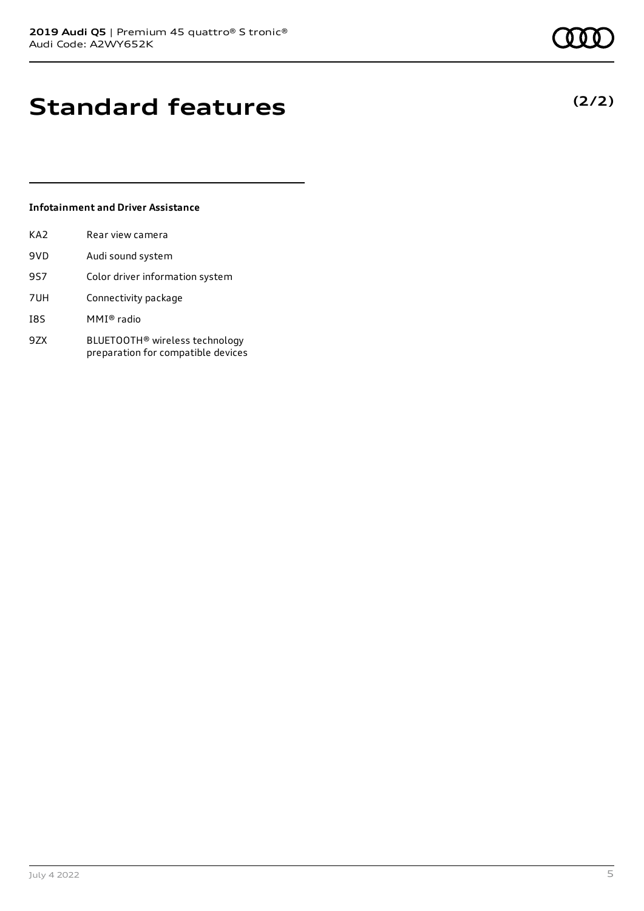## **Standard features**

#### **Infotainment and Driver Assistance**

| KA2        | Rear view camera                                                                 |
|------------|----------------------------------------------------------------------------------|
| 9VD        | Audi sound system                                                                |
| <b>9S7</b> | Color driver information system                                                  |
| 7UH        | Connectivity package                                                             |
| I8S        | MMI® radio                                                                       |
| 9ZX        | BLUETOOTH <sup>®</sup> wireless technology<br>preparation for compatible devices |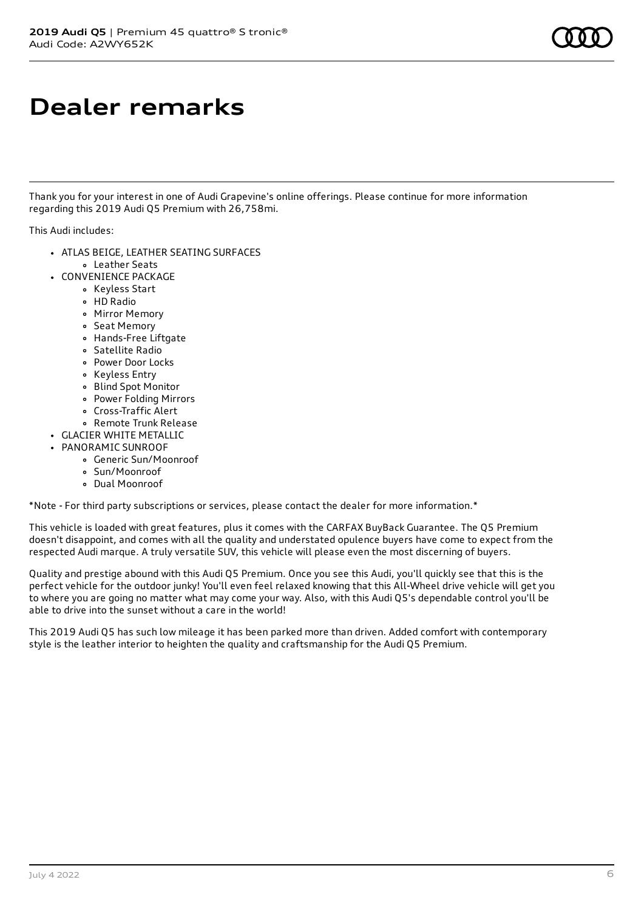### **Dealer remarks**

Thank you for your interest in one of Audi Grapevine's online offerings. Please continue for more information regarding this 2019 Audi Q5 Premium with 26,758mi.

This Audi includes:

- ATLAS BEIGE, LEATHER SEATING SURFACES Leather Seats
- CONVENIENCE PACKAGE
	- Keyless Start
	- HD Radio
	- Mirror Memory
	- Seat Memory
	- Hands-Free Liftgate
	- Satellite Radio
	- Power Door Locks
	- Keyless Entry
	- Blind Spot Monitor
	- Power Folding Mirrors
	- Cross-Traffic Alert
	- Remote Trunk Release
- GLACIER WHITE METALLIC
- PANORAMIC SUNROOF
	- Generic Sun/Moonroof
	- Sun/Moonroof
	- Dual Moonroof

\*Note - For third party subscriptions or services, please contact the dealer for more information.\*

This vehicle is loaded with great features, plus it comes with the CARFAX BuyBack Guarantee. The Q5 Premium doesn't disappoint, and comes with all the quality and understated opulence buyers have come to expect from the respected Audi marque. A truly versatile SUV, this vehicle will please even the most discerning of buyers.

Quality and prestige abound with this Audi Q5 Premium. Once you see this Audi, you'll quickly see that this is the perfect vehicle for the outdoor junky! You'll even feel relaxed knowing that this All-Wheel drive vehicle will get you to where you are going no matter what may come your way. Also, with this Audi Q5's dependable control you'll be able to drive into the sunset without a care in the world!

This 2019 Audi Q5 has such low mileage it has been parked more than driven. Added comfort with contemporary style is the leather interior to heighten the quality and craftsmanship for the Audi Q5 Premium.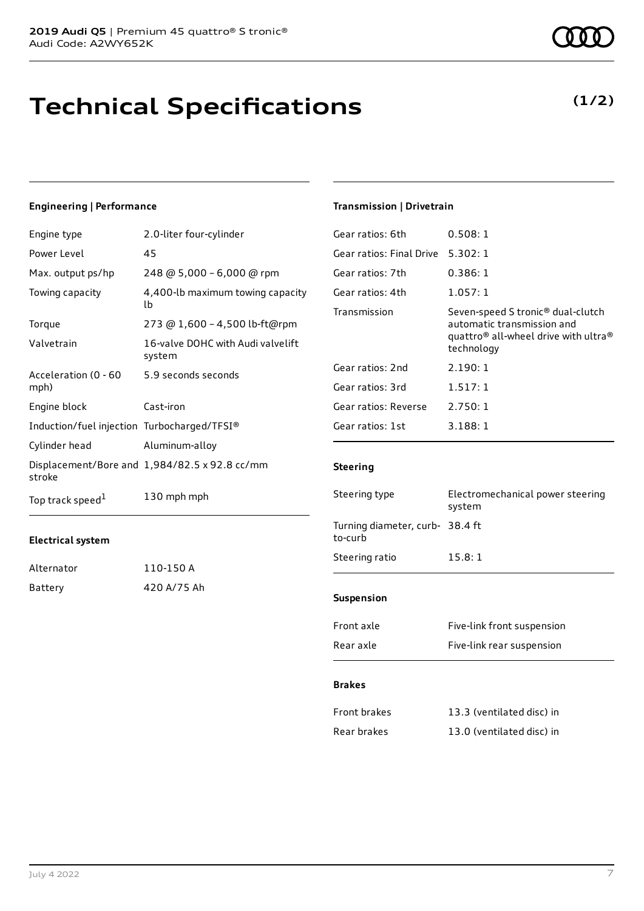### **Technical Specifications**

#### **Engineering | Performance**

| Engine type                                 | 2.0-liter four-cylinder                       |
|---------------------------------------------|-----------------------------------------------|
| Power Level                                 | 45                                            |
| Max. output ps/hp                           | 248 @ 5,000 - 6,000 @ rpm                     |
| Towing capacity                             | 4,400-lb maximum towing capacity<br>lb        |
| Torque                                      | 273 @ 1,600 - 4,500 lb-ft@rpm                 |
| Valvetrain                                  | 16-valve DOHC with Audi valvelift<br>system   |
| Acceleration (0 - 60<br>mph)                | 5.9 seconds seconds                           |
| Engine block                                | Cast-iron                                     |
| Induction/fuel injection Turbocharged/TFSI® |                                               |
| Cylinder head                               | Aluminum-alloy                                |
| stroke                                      | Displacement/Bore and 1,984/82.5 x 92.8 cc/mm |
| Top track speed <sup>1</sup>                | 130 mph mph                                   |

#### **Electrical system**

| Alternator | 110-150 A   |
|------------|-------------|
| Battery    | 420 A/75 Ah |

#### **Transmission | Drivetrain**

| Gear ratios: 6th         | 0.508:1                                                                                                                                                   |
|--------------------------|-----------------------------------------------------------------------------------------------------------------------------------------------------------|
| Gear ratios: Final Drive | 5.302:1                                                                                                                                                   |
| Gear ratios: 7th         | 0.386:1                                                                                                                                                   |
| Gear ratios: 4th         | 1.057:1                                                                                                                                                   |
| Transmission             | Seven-speed S tronic <sup>®</sup> dual-clutch<br>automatic transmission and<br>quattro <sup>®</sup> all-wheel drive with ultra <sup>®</sup><br>technology |
| Gear ratios: 2nd         | 2.190:1                                                                                                                                                   |
| Gear ratios: 3rd         | 1.517:1                                                                                                                                                   |
| Gear ratios: Reverse     | 2.750:1                                                                                                                                                   |
| Gear ratios: 1st         | 3.188:1                                                                                                                                                   |

#### **Steering**

| Steering type                             | Electromechanical power steering<br>system |  |
|-------------------------------------------|--------------------------------------------|--|
| Turning diameter, curb-38.4 ft<br>to-curb |                                            |  |
| Steering ratio                            | 15.8:1                                     |  |
| <b>Suspension</b>                         |                                            |  |
| Front axle                                | Five-link front suspension                 |  |

### Rear axle Five-link rear suspension

#### **Brakes**

| Front brakes | 13.3 (ventilated disc) in |
|--------------|---------------------------|
| Rear brakes  | 13.0 (ventilated disc) in |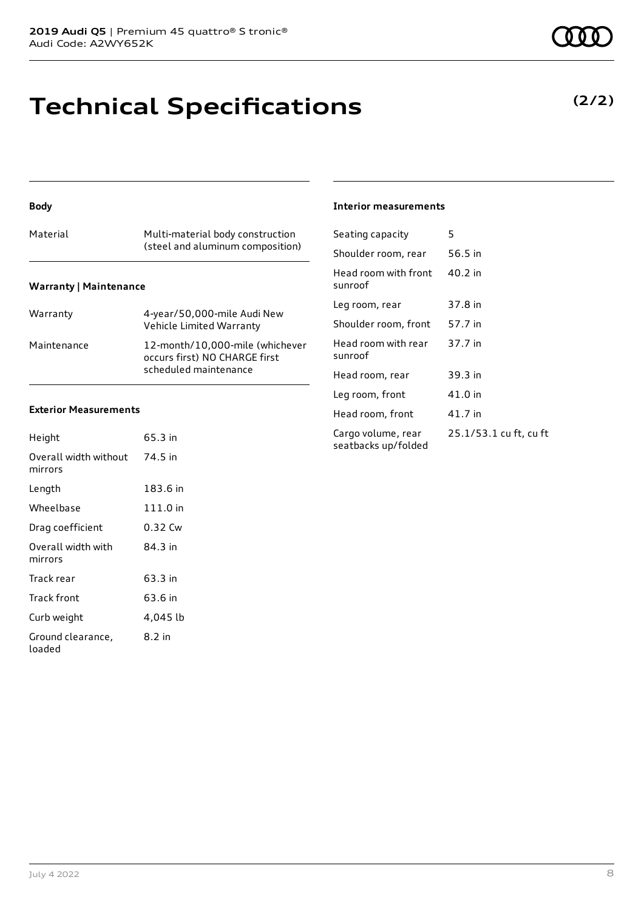### **Technical Specifications**

#### **Body**

|                               | (steel and aluminum composition) |  |  |  |
|-------------------------------|----------------------------------|--|--|--|
| <b>Warranty   Maintenance</b> |                                  |  |  |  |

| Warranty    | 4-year/50,000-mile Audi New<br>Vehicle Limited Warranty                                   |
|-------------|-------------------------------------------------------------------------------------------|
| Maintenance | 12-month/10,000-mile (whichever<br>occurs first) NO CHARGE first<br>scheduled maintenance |

#### **Exterior Measurements**

| Height                           | 65.3 in  |
|----------------------------------|----------|
| Overall width without<br>mirrors | 74.5 in  |
| Length                           | 183.6 in |
| Wheelbase                        | 111.0 in |
| Drag coefficient                 | 0.32 Cw  |
| Overall width with<br>mirrors    | 84.3 in  |
| Track rear                       | 63.3 in  |
| Track front                      | 63.6 in  |
| Curb weight                      | 4,045 lb |
| Ground clearance,<br>loaded      | 8.2 in   |

#### **Interior measurements**

| Seating capacity                          | 5                      |
|-------------------------------------------|------------------------|
| Shoulder room, rear                       | 56.5 in                |
| Head room with front<br>sunroof           | 40.2 in                |
| Leg room, rear                            | 37.8 in                |
| Shoulder room, front                      | 57.7 in                |
| Head room with rear<br>sunroof            | 37.7 in                |
| Head room, rear                           | 39.3 in                |
| Leg room, front                           | 41.0 in                |
| Head room, front                          | 41.7 in                |
| Cargo volume, rear<br>seatbacks up/folded | 25.1/53.1 cu ft, cu ft |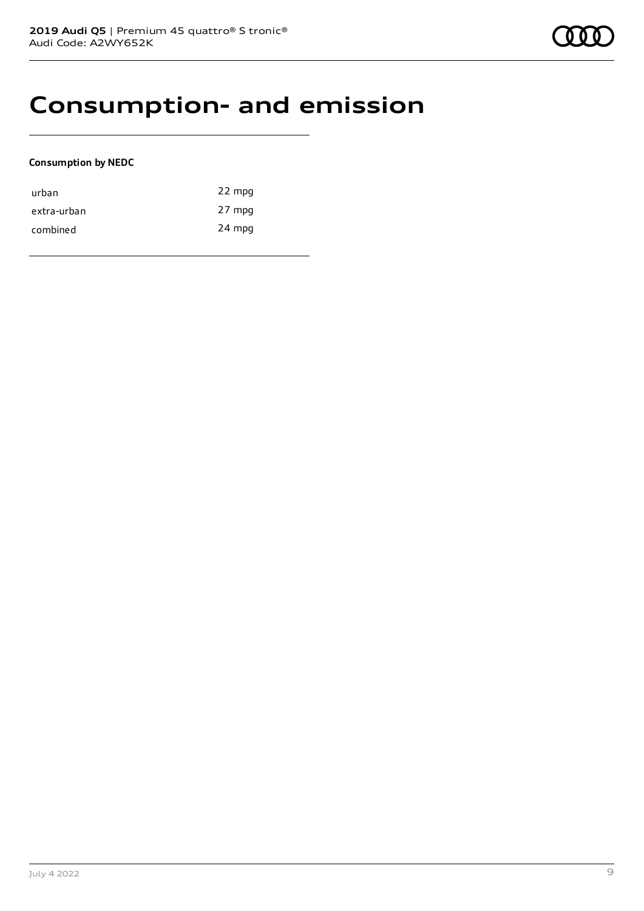### **Consumption- and emission**

#### **Consumption by NEDC**

| urban       | 22 mpg |
|-------------|--------|
| extra-urban | 27 mpg |
| combined    | 24 mpg |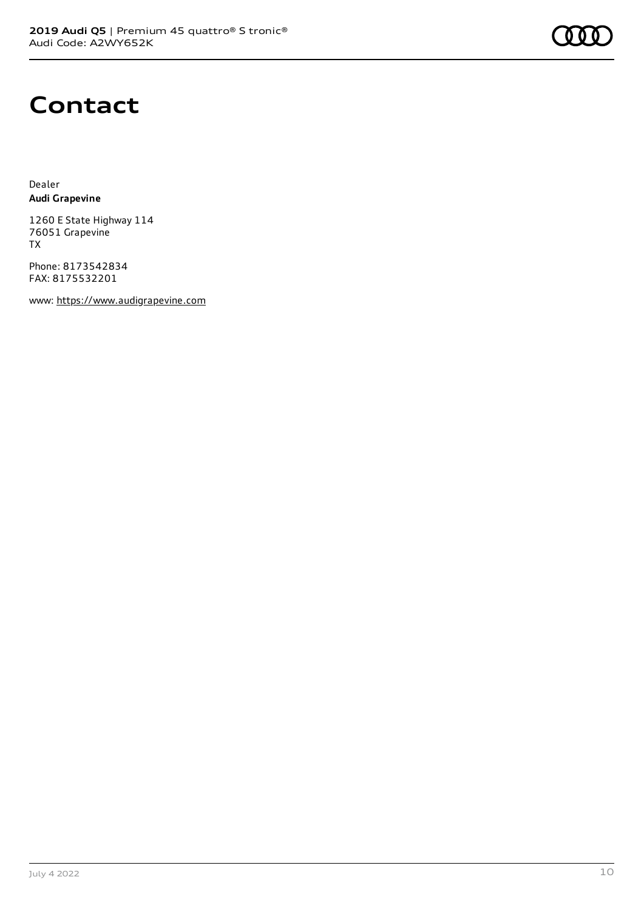

### **Contact**

Dealer **Audi Grapevine**

1260 E State Highway 114 76051 Grapevine TX

Phone: 8173542834 FAX: 8175532201

www: [https://www.audigrapevine.com](https://www.audigrapevine.com/)